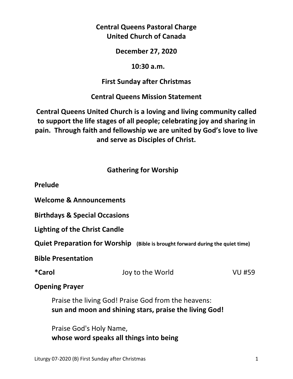## **Central Queens Pastoral Charge United Church of Canada**

#### **December 27, 2020**

#### **10:30 a.m.**

## **First Sunday after Christmas**

**Central Queens Mission Statement** 

**Central Queens United Church is a loving and living community called to support the life stages of all people; celebrating joy and sharing in pain. Through faith and fellowship we are united by God's love to live and serve as Disciples of Christ.**

## **Gathering for Worship**

**Prelude** 

**Welcome & Announcements** 

**Birthdays & Special Occasions** 

**Lighting of the Christ Candle**

**Quiet Preparation for Worship (Bible is brought forward during the quiet time)** 

**Bible Presentation** 

| *Carol | Joy to the World | <b>VU #59</b> |
|--------|------------------|---------------|
|        |                  |               |

**Opening Prayer** 

Praise the living God! Praise God from the heavens: **sun and moon and shining stars, praise the living God!** 

 Praise God's Holy Name, **whose word speaks all things into being**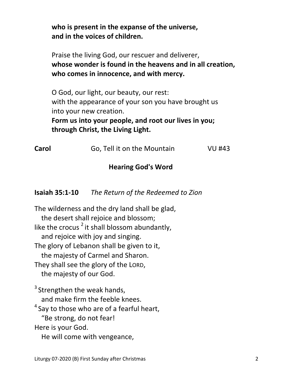**who is present in the expanse of the universe, and in the voices of children.**

 Praise the living God, our rescuer and deliverer, **whose wonder is found in the heavens and in all creation, who comes in innocence, and with mercy.** 

 O God, our light, our beauty, our rest: with the appearance of your son you have brought us into your new creation.

**Form us into your people, and root our lives in you; through Christ, the Living Light.** 

| Carol | Go, Tell it on the Mountain | <b>VU #43</b> |
|-------|-----------------------------|---------------|
|       |                             |               |

#### **Hearing God's Word**

**Isaiah 35:1-10** *The Return of the Redeemed to Zion* 

The wilderness and the dry land shall be glad, the desert shall rejoice and blossom; like the crocus<sup>2</sup> it shall blossom abundantly, and rejoice with joy and singing. The glory of Lebanon shall be given to it, the majesty of Carmel and Sharon. They shall see the glory of the LORD, the majesty of our God.  $3$  Strengthen the weak hands, and make firm the feeble knees.  $4$  Say to those who are of a fearful heart, "Be strong, do not fear! Here is your God.

He will come with vengeance,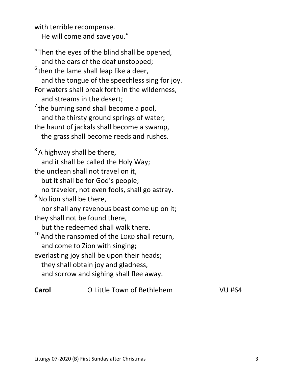with terrible recompense. He will come and save you."

 $5$ Then the eyes of the blind shall be opened, and the ears of the deaf unstopped;  $6$  then the lame shall leap like a deer, and the tongue of the speechless sing for joy. For waters shall break forth in the wilderness, and streams in the desert;  $<sup>7</sup>$  the burning sand shall become a pool,</sup> and the thirsty ground springs of water; the haunt of jackals shall become a swamp, the grass shall become reeds and rushes.  $8A$  highway shall be there, and it shall be called the Holy Way; the unclean shall not travel on it, but it shall be for God's people; no traveler, not even fools, shall go astray.  $<sup>9</sup>$  No lion shall be there,</sup> nor shall any ravenous beast come up on it; they shall not be found there, but the redeemed shall walk there.  $10$  And the ransomed of the LORD shall return, and come to Zion with singing; everlasting joy shall be upon their heads; they shall obtain joy and gladness, and sorrow and sighing shall flee away.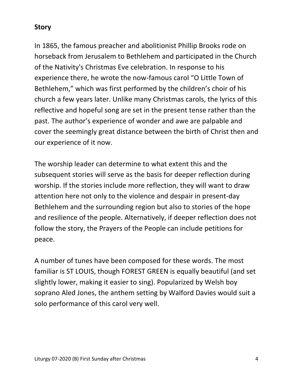## **Story**

In 1865, the famous preacher and abolitionist Phillip Brooks rode on horseback from Jerusalem to Bethlehem and participated in the Church of the Nativity's Christmas Eve celebration. In response to his experience there, he wrote the now-famous carol "O Little Town of Bethlehem," which was first performed by the children's choir of his church a few years later. Unlike many Christmas carols, the lyrics of this reflective and hopeful song are set in the present tense rather than the past. The author's experience of wonder and awe are palpable and cover the seemingly great distance between the birth of Christ then and our experience of it now.

The worship leader can determine to what extent this and the subsequent stories will serve as the basis for deeper reflection during worship. If the stories include more reflection, they will want to draw attention here not only to the violence and despair in present-day Bethlehem and the surrounding region but also to stories of the hope and resilience of the people. Alternatively, if deeper reflection does not follow the story, the Prayers of the People can include petitions for peace.

A number of tunes have been composed for these words. The most familiar is ST LOUIS, though FOREST GREEN is equally beautiful (and set slightly lower, making it easier to sing). Popularized by Welsh boy soprano Aled Jones, the anthem setting by Walford Davies would suit a solo performance of this carol very well.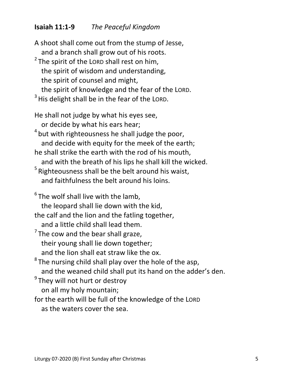## **Isaiah 11:1-9** *The Peaceful Kingdom*

A shoot shall come out from the stump of Jesse, and a branch shall grow out of his roots.  $2$  The spirit of the LORD shall rest on him, the spirit of wisdom and understanding, the spirit of counsel and might, the spirit of knowledge and the fear of the LORD.  $3$  His delight shall be in the fear of the LORD. He shall not judge by what his eyes see, or decide by what his ears hear;  $4$  but with righteousness he shall judge the poor, and decide with equity for the meek of the earth; he shall strike the earth with the rod of his mouth, and with the breath of his lips he shall kill the wicked.  $5$  Righteousness shall be the belt around his waist, and faithfulness the belt around his loins.  $6$ The wolf shall live with the lamb, the leopard shall lie down with the kid, the calf and the lion and the fatling together, and a little child shall lead them.  $<sup>7</sup>$  The cow and the bear shall graze,</sup> their young shall lie down together; and the lion shall eat straw like the ox.  $8$ The nursing child shall play over the hole of the asp, and the weaned child shall put its hand on the adder's den. <sup>9</sup>They will not hurt or destroy on all my holy mountain; for the earth will be full of the knowledge of the LORD as the waters cover the sea.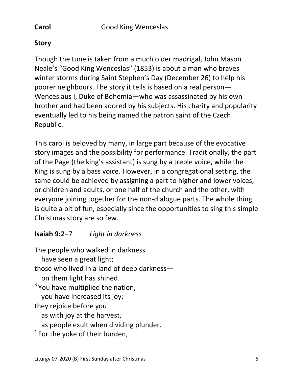## **Story**

Though the tune is taken from a much older madrigal, John Mason Neale's "Good King Wenceslas" (1853) is about a man who braves winter storms during Saint Stephen's Day (December 26) to help his poorer neighbours. The story it tells is based on a real person— Wenceslaus I, Duke of Bohemia—who was assassinated by his own brother and had been adored by his subjects. His charity and popularity eventually led to his being named the patron saint of the Czech Republic.

This carol is beloved by many, in large part because of the evocative story images and the possibility for performance. Traditionally, the part of the Page (the king's assistant) is sung by a treble voice, while the King is sung by a bass voice. However, in a congregational setting, the same could be achieved by assigning a part to higher and lower voices, or children and adults, or one half of the church and the other, with everyone joining together for the non-dialogue parts. The whole thing is quite a bit of fun, especially since the opportunities to sing this simple Christmas story are so few.

## **Isaiah 9:2‒**7 *Light in darkness*

The people who walked in darkness have seen a great light; those who lived in a land of deep darkness on them light has shined.  $3$  You have multiplied the nation, you have increased its joy; they rejoice before you as with joy at the harvest, as people exult when dividing plunder.  $4$  For the yoke of their burden,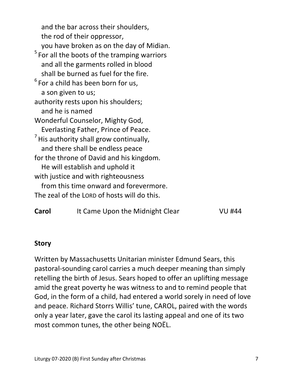and the bar across their shoulders, the rod of their oppressor, you have broken as on the day of Midian.  $5$  For all the boots of the tramping warriors and all the garments rolled in blood shall be burned as fuel for the fire.  $6$  For a child has been born for us, a son given to us; authority rests upon his shoulders; and he is named Wonderful Counselor, Mighty God, Everlasting Father, Prince of Peace.  $<sup>7</sup>$  His authority shall grow continually,</sup> and there shall be endless peace for the throne of David and his kingdom. He will establish and uphold it with justice and with righteousness from this time onward and forevermore. The zeal of the LORD of hosts will do this.

| Carol | It Came Upon the Midnight Clear | VU #44 |
|-------|---------------------------------|--------|
|-------|---------------------------------|--------|

#### **Story**

Written by Massachusetts Unitarian minister Edmund Sears, this pastoral-sounding carol carries a much deeper meaning than simply retelling the birth of Jesus. Sears hoped to offer an uplifting message amid the great poverty he was witness to and to remind people that God, in the form of a child, had entered a world sorely in need of love and peace. Richard Storrs Willis' tune, CAROL, paired with the words only a year later, gave the carol its lasting appeal and one of its two most common tunes, the other being NOËL.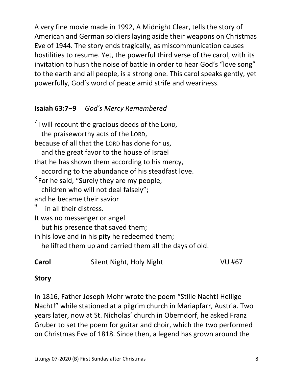A very fine movie made in 1992, A Midnight Clear, tells the story of American and German soldiers laying aside their weapons on Christmas Eve of 1944. The story ends tragically, as miscommunication causes hostilities to resume. Yet, the powerful third verse of the carol, with its invitation to hush the noise of battle in order to hear God's "love song" to the earth and all people, is a strong one. This carol speaks gently, yet powerfully, God's word of peace amid strife and weariness.

## **Isaiah 63:7‒9** *God's Mercy Remembered*

 $<sup>7</sup>$ I will recount the gracious deeds of the LORD,</sup> the praiseworthy acts of the LORD, because of all that the LORD has done for us, and the great favor to the house of Israel that he has shown them according to his mercy, according to the abundance of his steadfast love.  $8$  For he said, "Surely they are my people, children who will not deal falsely"; and he became their savior in all their distress. It was no messenger or angel but his presence that saved them; in his love and in his pity he redeemed them; he lifted them up and carried them all the days of old. **Carol** Silent Night, Holy Night VU #67

## **Story**

In 1816, Father Joseph Mohr wrote the poem "Stille Nacht! Heilige Nacht!" while stationed at a pilgrim church in Mariapfarr, Austria. Two years later, now at St. Nicholas' church in Oberndorf, he asked Franz Gruber to set the poem for guitar and choir, which the two performed on Christmas Eve of 1818. Since then, a legend has grown around the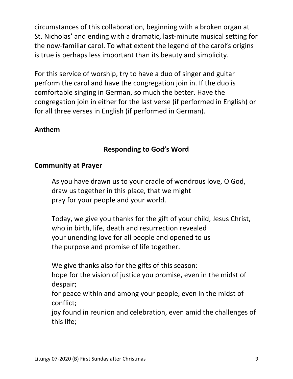circumstances of this collaboration, beginning with a broken organ at St. Nicholas' and ending with a dramatic, last-minute musical setting for the now-familiar carol. To what extent the legend of the carol's origins is true is perhaps less important than its beauty and simplicity.

For this service of worship, try to have a duo of singer and guitar perform the carol and have the congregation join in. If the duo is comfortable singing in German, so much the better. Have the congregation join in either for the last verse (if performed in English) or for all three verses in English (if performed in German).

## **Anthem**

## **Responding to God's Word**

## **Community at Prayer**

 As you have drawn us to your cradle of wondrous love, O God, draw us together in this place, that we might pray for your people and your world.

 Today, we give you thanks for the gift of your child, Jesus Christ, who in birth, life, death and resurrection revealed your unending love for all people and opened to us the purpose and promise of life together.

We give thanks also for the gifts of this season:

 hope for the vision of justice you promise, even in the midst of despair;

 for peace within and among your people, even in the midst of conflict;

 joy found in reunion and celebration, even amid the challenges of this life;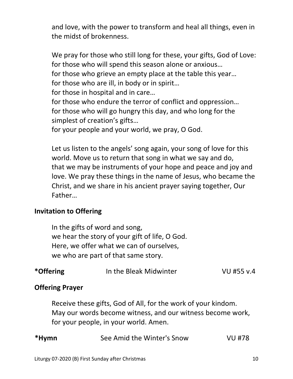and love, with the power to transform and heal all things, even in the midst of brokenness.

We pray for those who still long for these, your gifts, God of Love: for those who will spend this season alone or anxious… for those who grieve an empty place at the table this year… for those who are ill, in body or in spirit… for those in hospital and in care… for those who endure the terror of conflict and oppression… for those who will go hungry this day, and who long for the simplest of creation's gifts… for your people and your world, we pray, O God.

 Let us listen to the angels' song again, your song of love for this world. Move us to return that song in what we say and do, that we may be instruments of your hope and peace and joy and love. We pray these things in the name of Jesus, who became the Christ, and we share in his ancient prayer saying together, Our Father…

#### **Invitation to Offering**

 In the gifts of word and song, we hear the story of your gift of life, O God. Here, we offer what we can of ourselves, we who are part of that same story.

| *Offering | In the Bleak Midwinter | VU #55 v.4 |
|-----------|------------------------|------------|
|-----------|------------------------|------------|

#### **Offering Prayer**

 Receive these gifts, God of All, for the work of your kindom. May our words become witness, and our witness become work, for your people, in your world. Amen.

| VU #78 |
|--------|
|        |